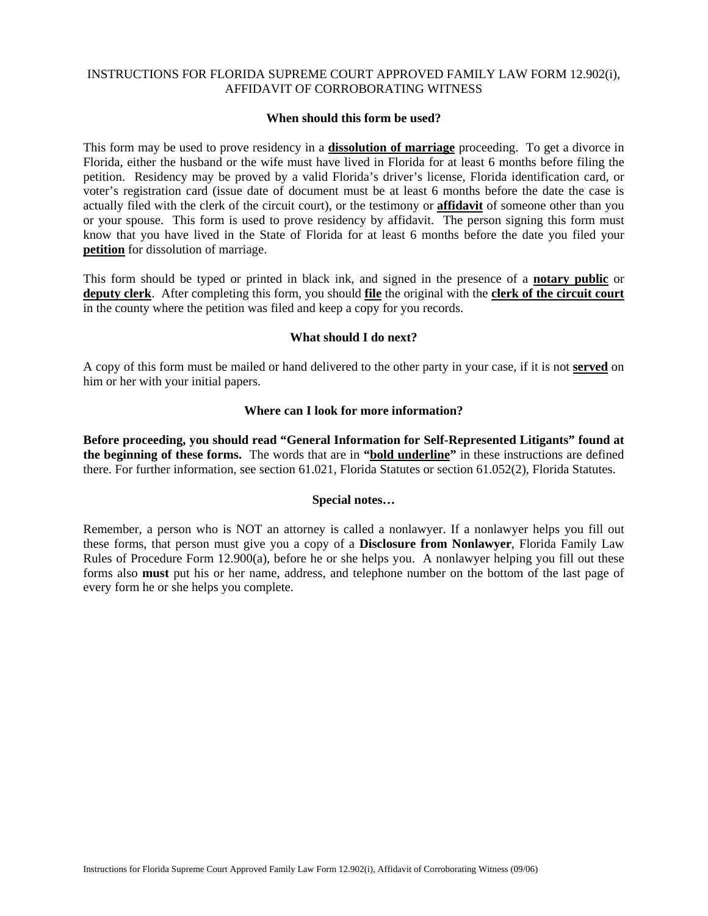# INSTRUCTIONS FOR FLORIDA SUPREME COURT APPROVED FAMILY LAW FORM 12.902(i), AFFIDAVIT OF CORROBORATING WITNESS

#### **When should this form be used?**

This form may be used to prove residency in a **dissolution of marriage** proceeding. To get a divorce in Florida, either the husband or the wife must have lived in Florida for at least 6 months before filing the petition. Residency may be proved by a valid Florida's driver's license, Florida identification card, or voter's registration card (issue date of document must be at least 6 months before the date the case is actually filed with the clerk of the circuit court), or the testimony or **affidavit** of someone other than you or your spouse. This form is used to prove residency by affidavit. The person signing this form must know that you have lived in the State of Florida for at least 6 months before the date you filed your **petition** for dissolution of marriage.

This form should be typed or printed in black ink, and signed in the presence of a **notary public** or **deputy clerk**. After completing this form, you should **file** the original with the **clerk of the circuit court** in the county where the petition was filed and keep a copy for you records.

# **What should I do next?**

A copy of this form must be mailed or hand delivered to the other party in your case, if it is not **served** on him or her with your initial papers.

#### **Where can I look for more information?**

**Before proceeding, you should read "General Information for Self-Represented Litigants" found at the beginning of these forms.** The words that are in **"bold underline"** in these instructions are defined there. For further information, see section 61.021, Florida Statutes or section 61.052(2), Florida Statutes.

# **Special notes…**

Remember, a person who is NOT an attorney is called a nonlawyer. If a nonlawyer helps you fill out these forms, that person must give you a copy of a **Disclosure from Nonlawyer**, Florida Family Law Rules of Procedure Form 12.900(a), before he or she helps you. A nonlawyer helping you fill out these forms also **must** put his or her name, address, and telephone number on the bottom of the last page of every form he or she helps you complete.